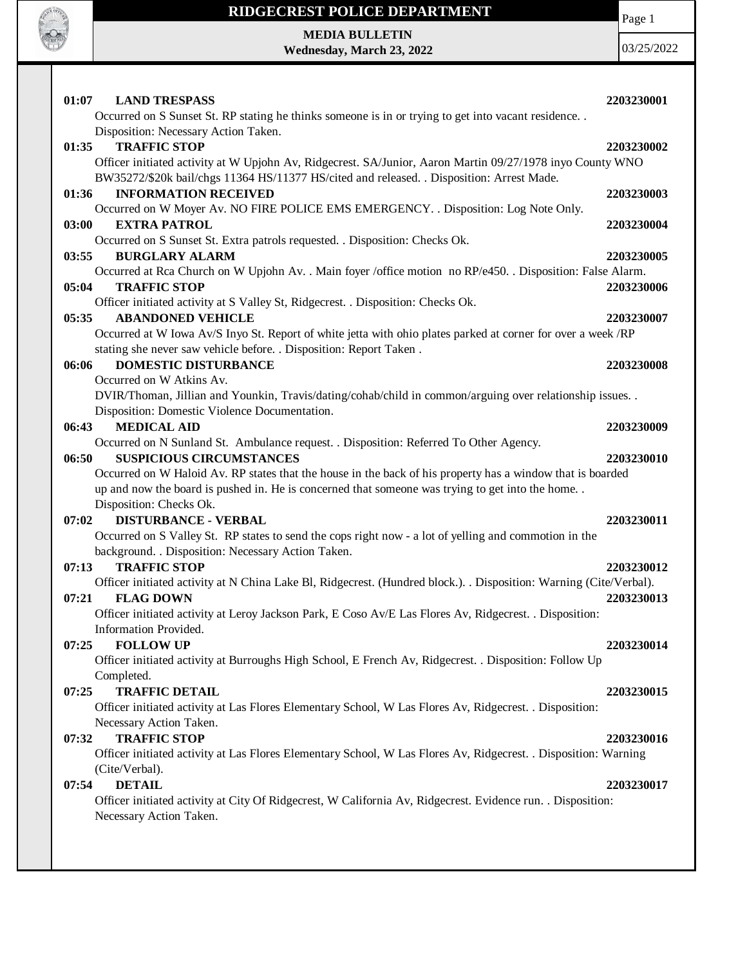

**MEDIA BULLETIN Wednesday, March 23, 2022** Page 1

| 01:07<br><b>LAND TRESPASS</b>                                                                                                                                                                          | 2203230001 |
|--------------------------------------------------------------------------------------------------------------------------------------------------------------------------------------------------------|------------|
| Occurred on S Sunset St. RP stating he thinks someone is in or trying to get into vacant residence<br>Disposition: Necessary Action Taken.                                                             |            |
| <b>TRAFFIC STOP</b><br>01:35                                                                                                                                                                           | 2203230002 |
| Officer initiated activity at W Upjohn Av, Ridgecrest. SA/Junior, Aaron Martin 09/27/1978 inyo County WNO<br>BW35272/\$20k bail/chgs 11364 HS/11377 HS/cited and released. . Disposition: Arrest Made. |            |
| <b>INFORMATION RECEIVED</b><br>01:36                                                                                                                                                                   | 2203230003 |
| Occurred on W Moyer Av. NO FIRE POLICE EMS EMERGENCY. . Disposition: Log Note Only.                                                                                                                    |            |
| 03:00<br><b>EXTRA PATROL</b><br>Occurred on S Sunset St. Extra patrols requested. . Disposition: Checks Ok.                                                                                            | 2203230004 |
| 03:55<br><b>BURGLARY ALARM</b>                                                                                                                                                                         | 2203230005 |
| Occurred at Rca Church on W Upjohn Av. . Main foyer /office motion no RP/e450. . Disposition: False Alarm.                                                                                             |            |
| <b>TRAFFIC STOP</b><br>05:04                                                                                                                                                                           | 2203230006 |
| Officer initiated activity at S Valley St, Ridgecrest. . Disposition: Checks Ok.                                                                                                                       |            |
| <b>ABANDONED VEHICLE</b><br>05:35                                                                                                                                                                      | 2203230007 |
| Occurred at W Iowa Av/S Inyo St. Report of white jetta with ohio plates parked at corner for over a week /RP<br>stating she never saw vehicle before. . Disposition: Report Taken.                     |            |
| <b>DOMESTIC DISTURBANCE</b><br>06:06                                                                                                                                                                   | 2203230008 |
| Occurred on W Atkins Av.                                                                                                                                                                               |            |
| DVIR/Thoman, Jillian and Younkin, Travis/dating/cohab/child in common/arguing over relationship issues. .                                                                                              |            |
| Disposition: Domestic Violence Documentation.                                                                                                                                                          |            |
| <b>MEDICAL AID</b><br>06:43                                                                                                                                                                            | 2203230009 |
| Occurred on N Sunland St. Ambulance request. . Disposition: Referred To Other Agency.                                                                                                                  |            |
| <b>SUSPICIOUS CIRCUMSTANCES</b><br>06:50<br>Occurred on W Haloid Av. RP states that the house in the back of his property has a window that is boarded                                                 | 2203230010 |
| up and now the board is pushed in. He is concerned that someone was trying to get into the home. .                                                                                                     |            |
| Disposition: Checks Ok.                                                                                                                                                                                |            |
| <b>DISTURBANCE - VERBAL</b><br>07:02                                                                                                                                                                   | 2203230011 |
| Occurred on S Valley St. RP states to send the cops right now - a lot of yelling and commotion in the                                                                                                  |            |
| background. . Disposition: Necessary Action Taken.                                                                                                                                                     |            |
| <b>TRAFFIC STOP</b><br>07:13                                                                                                                                                                           | 2203230012 |
| Officer initiated activity at N China Lake Bl, Ridgecrest. (Hundred block.). . Disposition: Warning (Cite/Verbal).                                                                                     |            |
| 07:21<br><b>FLAG DOWN</b>                                                                                                                                                                              | 2203230013 |
| Officer initiated activity at Leroy Jackson Park, E Coso Av/E Las Flores Av, Ridgecrest. . Disposition:                                                                                                |            |
| Information Provided.                                                                                                                                                                                  |            |
| <b>FOLLOW UP</b><br>07:25                                                                                                                                                                              | 2203230014 |
| Officer initiated activity at Burroughs High School, E French Av, Ridgecrest. . Disposition: Follow Up                                                                                                 |            |
| Completed.                                                                                                                                                                                             |            |
| <b>TRAFFIC DETAIL</b><br>07:25                                                                                                                                                                         | 2203230015 |
| Officer initiated activity at Las Flores Elementary School, W Las Flores Av, Ridgecrest. . Disposition:<br>Necessary Action Taken.                                                                     |            |
| <b>TRAFFIC STOP</b><br>07:32                                                                                                                                                                           | 2203230016 |
| Officer initiated activity at Las Flores Elementary School, W Las Flores Av, Ridgecrest. . Disposition: Warning                                                                                        |            |
| (Cite/Verbal).                                                                                                                                                                                         |            |
| <b>DETAIL</b><br>07:54<br>Officer initiated activity at City Of Ridgecrest, W California Av, Ridgecrest. Evidence run. . Disposition:                                                                  | 2203230017 |
| Necessary Action Taken.                                                                                                                                                                                |            |
|                                                                                                                                                                                                        |            |
|                                                                                                                                                                                                        |            |
|                                                                                                                                                                                                        |            |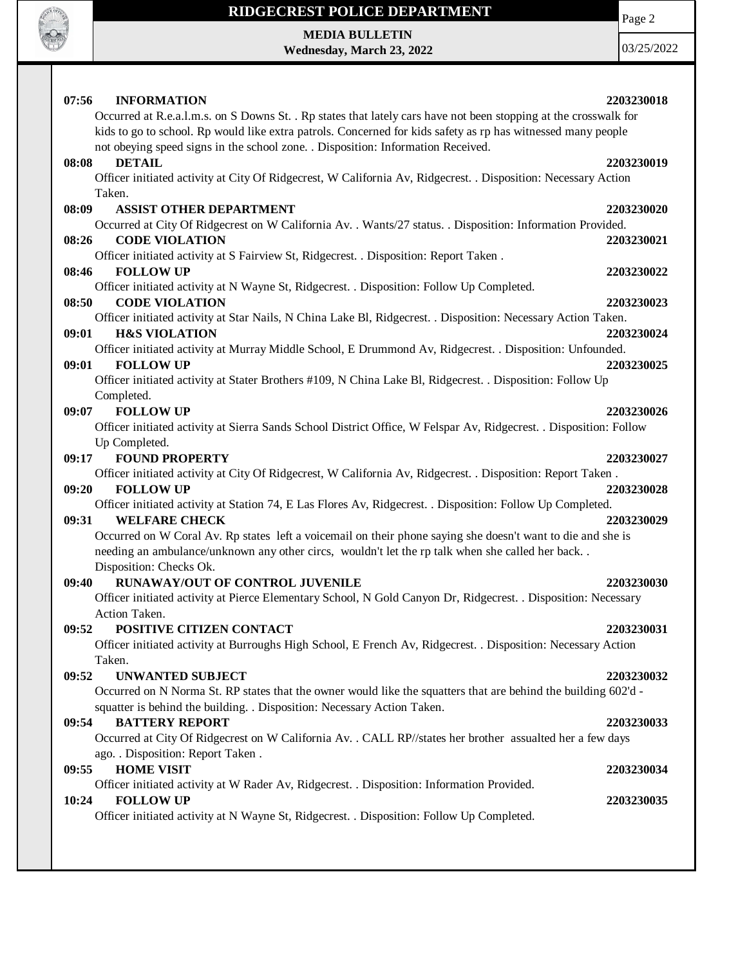

Page 2

**MEDIA BULLETIN Wednesday, March 23, 2022**

| 07:56<br><b>INFORMATION</b><br>Occurred at R.e.a.l.m.s. on S Downs St. . Rp states that lately cars have not been stopping at the crosswalk for<br>kids to go to school. Rp would like extra patrols. Concerned for kids safety as rp has witnessed many people | 2203230018               |
|-----------------------------------------------------------------------------------------------------------------------------------------------------------------------------------------------------------------------------------------------------------------|--------------------------|
| not obeying speed signs in the school zone. . Disposition: Information Received.<br><b>DETAIL</b><br>08:08<br>Officer initiated activity at City Of Ridgecrest, W California Av, Ridgecrest. . Disposition: Necessary Action                                    | 2203230019               |
| Taken.<br><b>ASSIST OTHER DEPARTMENT</b><br>08:09<br>Occurred at City Of Ridgecrest on W California Av. . Wants/27 status. . Disposition: Information Provided.<br><b>CODE VIOLATION</b><br>08:26                                                               | 2203230020<br>2203230021 |
| Officer initiated activity at S Fairview St, Ridgecrest. . Disposition: Report Taken.<br><b>FOLLOW UP</b><br>08:46<br>Officer initiated activity at N Wayne St, Ridgecrest. . Disposition: Follow Up Completed.                                                 | 2203230022               |
| 08:50<br><b>CODE VIOLATION</b><br>Officer initiated activity at Star Nails, N China Lake Bl, Ridgecrest. . Disposition: Necessary Action Taken.<br>09:01<br><b>H&amp;S VIOLATION</b>                                                                            | 2203230023<br>2203230024 |
| Officer initiated activity at Murray Middle School, E Drummond Av, Ridgecrest. . Disposition: Unfounded.<br>09:01<br><b>FOLLOW UP</b><br>Officer initiated activity at Stater Brothers #109, N China Lake Bl, Ridgecrest. . Disposition: Follow Up              | 2203230025               |
| Completed.<br><b>FOLLOW UP</b><br>09:07<br>Officer initiated activity at Sierra Sands School District Office, W Felspar Av, Ridgecrest. . Disposition: Follow                                                                                                   | 2203230026               |
| Up Completed.<br><b>FOUND PROPERTY</b><br>09:17<br>Officer initiated activity at City Of Ridgecrest, W California Av, Ridgecrest. . Disposition: Report Taken.                                                                                                  | 2203230027               |
| 09:20<br><b>FOLLOW UP</b><br>Officer initiated activity at Station 74, E Las Flores Av, Ridgecrest. . Disposition: Follow Up Completed.<br><b>WELFARE CHECK</b><br>09:31                                                                                        | 2203230028<br>2203230029 |
| Occurred on W Coral Av. Rp states left a voicemail on their phone saying she doesn't want to die and she is<br>needing an ambulance/unknown any other circs, wouldn't let the rp talk when she called her back<br>Disposition: Checks Ok.                       |                          |
| RUNAWAY/OUT OF CONTROL JUVENILE<br>09:40<br>Officer initiated activity at Pierce Elementary School, N Gold Canyon Dr, Ridgecrest. . Disposition: Necessary<br>Action Taken.                                                                                     | 2203230030               |
| 09:52<br><b>POSITIVE CITIZEN CONTACT</b><br>Officer initiated activity at Burroughs High School, E French Av, Ridgecrest. . Disposition: Necessary Action<br>Taken.                                                                                             | 2203230031               |
| 09:52<br><b>UNWANTED SUBJECT</b><br>Occurred on N Norma St. RP states that the owner would like the squatters that are behind the building 602'd -<br>squatter is behind the building. . Disposition: Necessary Action Taken.                                   | 2203230032               |
| 09:54<br><b>BATTERY REPORT</b><br>Occurred at City Of Ridgecrest on W California Av. . CALL RP//states her brother assualted her a few days                                                                                                                     | 2203230033               |
| ago. . Disposition: Report Taken .<br><b>HOME VISIT</b><br>09:55<br>Officer initiated activity at W Rader Av, Ridgecrest. . Disposition: Information Provided.                                                                                                  | 2203230034               |
| <b>FOLLOW UP</b><br>10:24<br>Officer initiated activity at N Wayne St, Ridgecrest. . Disposition: Follow Up Completed.                                                                                                                                          | 2203230035               |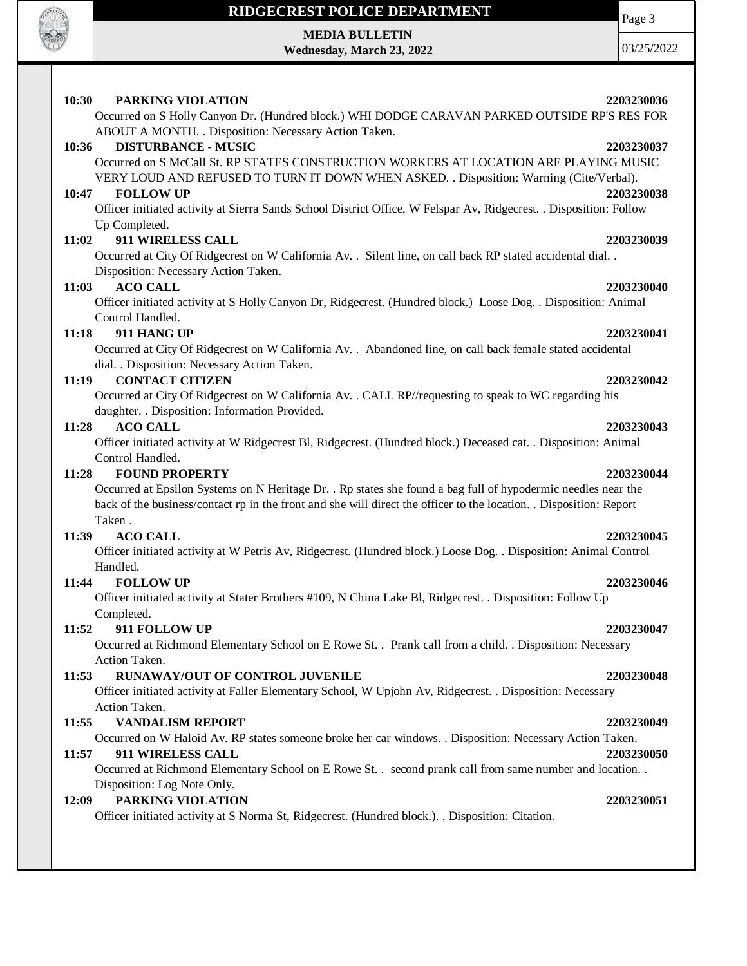

**MEDIA BULLETIN Wednesday, March 23, 2022** 03/25/2022

Page 3

#### **10:30 PARKING VIOLATION 2203230036** Occurred on S Holly Canyon Dr. (Hundred block.) WHI DODGE CARAVAN PARKED OUTSIDE RP'S RES FOR ABOUT A MONTH. . Disposition: Necessary Action Taken. **10:36 DISTURBANCE - MUSIC 2203230037** Occurred on S McCall St. RP STATES CONSTRUCTION WORKERS AT LOCATION ARE PLAYING MUSIC VERY LOUD AND REFUSED TO TURN IT DOWN WHEN ASKED. . Disposition: Warning (Cite/Verbal). **10:47 FOLLOW UP 2203230038** Officer initiated activity at Sierra Sands School District Office, W Felspar Av, Ridgecrest. . Disposition: Follow Up Completed. **11:02 911 WIRELESS CALL 2203230039** Occurred at City Of Ridgecrest on W California Av. . Silent line, on call back RP stated accidental dial. . Disposition: Necessary Action Taken. **11:03 ACO CALL 2203230040** Officer initiated activity at S Holly Canyon Dr, Ridgecrest. (Hundred block.) Loose Dog. . Disposition: Animal Control Handled. **11:18 911 HANG UP 2203230041** Occurred at City Of Ridgecrest on W California Av. . Abandoned line, on call back female stated accidental dial. . Disposition: Necessary Action Taken. **11:19 CONTACT CITIZEN 2203230042** Occurred at City Of Ridgecrest on W California Av. . CALL RP//requesting to speak to WC regarding his daughter. . Disposition: Information Provided. **11:28 ACO CALL 2203230043** Officer initiated activity at W Ridgecrest Bl, Ridgecrest. (Hundred block.) Deceased cat. . Disposition: Animal Control Handled. **11:28 FOUND PROPERTY 2203230044** Occurred at Epsilon Systems on N Heritage Dr. . Rp states she found a bag full of hypodermic needles near the back of the business/contact rp in the front and she will direct the officer to the location. . Disposition: Report Taken . **11:39 ACO CALL 2203230045** Officer initiated activity at W Petris Av, Ridgecrest. (Hundred block.) Loose Dog. . Disposition: Animal Control Handled. **11:44 FOLLOW UP 2203230046** Officer initiated activity at Stater Brothers #109, N China Lake Bl, Ridgecrest. . Disposition: Follow Up Completed. **11:52 911 FOLLOW UP 2203230047** Occurred at Richmond Elementary School on E Rowe St. . Prank call from a child. . Disposition: Necessary Action Taken. **11:53 RUNAWAY/OUT OF CONTROL JUVENILE 2203230048** Officer initiated activity at Faller Elementary School, W Upjohn Av, Ridgecrest. . Disposition: Necessary Action Taken. **11:55 VANDALISM REPORT 2203230049** Occurred on W Haloid Av. RP states someone broke her car windows. . Disposition: Necessary Action Taken. **11:57 911 WIRELESS CALL 2203230050** Occurred at Richmond Elementary School on E Rowe St. . second prank call from same number and location. . Disposition: Log Note Only. **12:09 PARKING VIOLATION 2203230051** Officer initiated activity at S Norma St, Ridgecrest. (Hundred block.). . Disposition: Citation.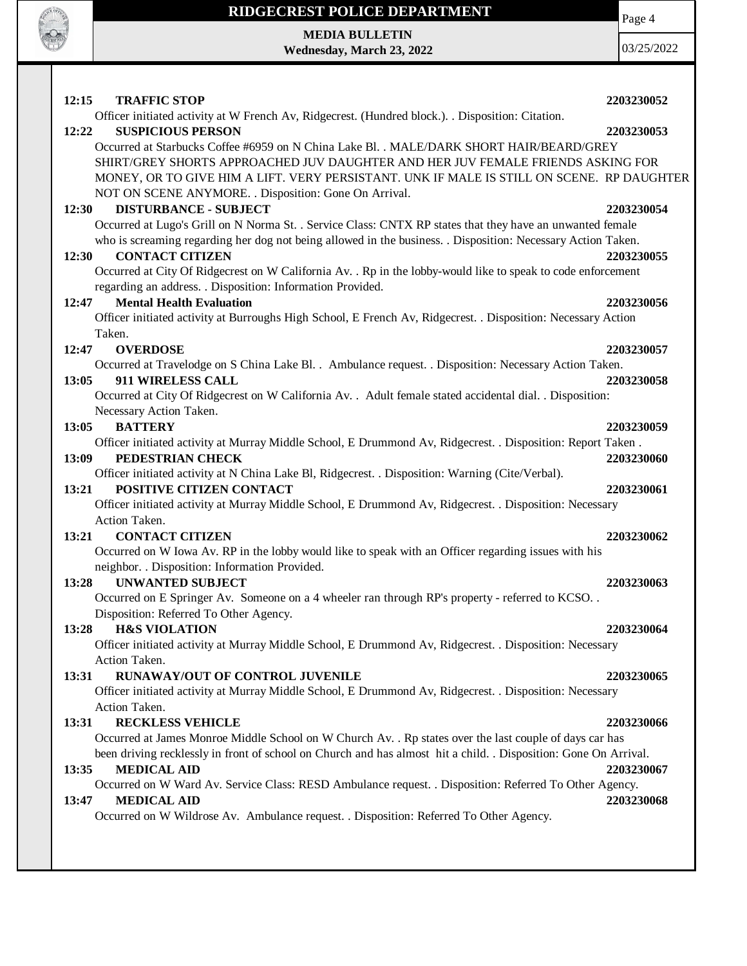

**MEDIA BULLETIN Wednesday, March 23, 2022** Page 4

| 12:15<br><b>TRAFFIC STOP</b>                                                                                     | 2203230052 |
|------------------------------------------------------------------------------------------------------------------|------------|
| Officer initiated activity at W French Av, Ridgecrest. (Hundred block.). . Disposition: Citation.                |            |
| 12:22<br><b>SUSPICIOUS PERSON</b>                                                                                | 2203230053 |
| Occurred at Starbucks Coffee #6959 on N China Lake Bl. . MALE/DARK SHORT HAIR/BEARD/GREY                         |            |
| SHIRT/GREY SHORTS APPROACHED JUV DAUGHTER AND HER JUV FEMALE FRIENDS ASKING FOR                                  |            |
| MONEY, OR TO GIVE HIM A LIFT. VERY PERSISTANT. UNK IF MALE IS STILL ON SCENE. RP DAUGHTER                        |            |
| NOT ON SCENE ANYMORE. . Disposition: Gone On Arrival.                                                            |            |
| <b>DISTURBANCE - SUBJECT</b><br>12:30                                                                            | 2203230054 |
| Occurred at Lugo's Grill on N Norma St. . Service Class: CNTX RP states that they have an unwanted female        |            |
| who is screaming regarding her dog not being allowed in the business. . Disposition: Necessary Action Taken.     |            |
| <b>CONTACT CITIZEN</b><br>12:30                                                                                  | 2203230055 |
| Occurred at City Of Ridgecrest on W California Av. . Rp in the lobby-would like to speak to code enforcement     |            |
| regarding an address. . Disposition: Information Provided.                                                       |            |
| <b>Mental Health Evaluation</b><br>12:47                                                                         | 2203230056 |
| Officer initiated activity at Burroughs High School, E French Av, Ridgecrest. . Disposition: Necessary Action    |            |
| Taken.                                                                                                           |            |
| 12:47<br><b>OVERDOSE</b>                                                                                         | 2203230057 |
| Occurred at Travelodge on S China Lake Bl. . Ambulance request. . Disposition: Necessary Action Taken.           |            |
| 13:05<br>911 WIRELESS CALL                                                                                       | 2203230058 |
| Occurred at City Of Ridgecrest on W California Av. . Adult female stated accidental dial. . Disposition:         |            |
| Necessary Action Taken.                                                                                          |            |
| 13:05<br><b>BATTERY</b>                                                                                          | 2203230059 |
| Officer initiated activity at Murray Middle School, E Drummond Av, Ridgecrest. . Disposition: Report Taken.      |            |
| PEDESTRIAN CHECK<br>13:09                                                                                        | 2203230060 |
| Officer initiated activity at N China Lake Bl, Ridgecrest. . Disposition: Warning (Cite/Verbal).                 |            |
| POSITIVE CITIZEN CONTACT<br>13:21                                                                                | 2203230061 |
| Officer initiated activity at Murray Middle School, E Drummond Av, Ridgecrest. . Disposition: Necessary          |            |
| Action Taken.                                                                                                    |            |
| <b>CONTACT CITIZEN</b><br>13:21                                                                                  | 2203230062 |
| Occurred on W Iowa Av. RP in the lobby would like to speak with an Officer regarding issues with his             |            |
| neighbor. . Disposition: Information Provided.                                                                   |            |
| <b>UNWANTED SUBJECT</b><br>13:28                                                                                 | 2203230063 |
| Occurred on E Springer Av. Someone on a 4 wheeler ran through RP's property - referred to KCSO                   |            |
| Disposition: Referred To Other Agency.                                                                           |            |
| 13:28<br><b>H&amp;S VIOLATION</b>                                                                                | 2203230064 |
| Officer initiated activity at Murray Middle School, E Drummond Av, Ridgecrest. . Disposition: Necessary          |            |
| Action Taken.                                                                                                    |            |
| RUNAWAY/OUT OF CONTROL JUVENILE<br>13:31                                                                         | 2203230065 |
|                                                                                                                  |            |
| Officer initiated activity at Murray Middle School, E Drummond Av, Ridgecrest. . Disposition: Necessary          |            |
| Action Taken.                                                                                                    |            |
| 13:31<br><b>RECKLESS VEHICLE</b>                                                                                 | 2203230066 |
| Occurred at James Monroe Middle School on W Church Av. . Rp states over the last couple of days car has          |            |
| been driving recklessly in front of school on Church and has almost hit a child. . Disposition: Gone On Arrival. |            |
| <b>MEDICAL AID</b><br>13:35                                                                                      | 2203230067 |
| Occurred on W Ward Av. Service Class: RESD Ambulance request. . Disposition: Referred To Other Agency.           |            |
| <b>MEDICAL AID</b><br>13:47                                                                                      | 2203230068 |
| Occurred on W Wildrose Av. Ambulance request. . Disposition: Referred To Other Agency.                           |            |
|                                                                                                                  |            |
|                                                                                                                  |            |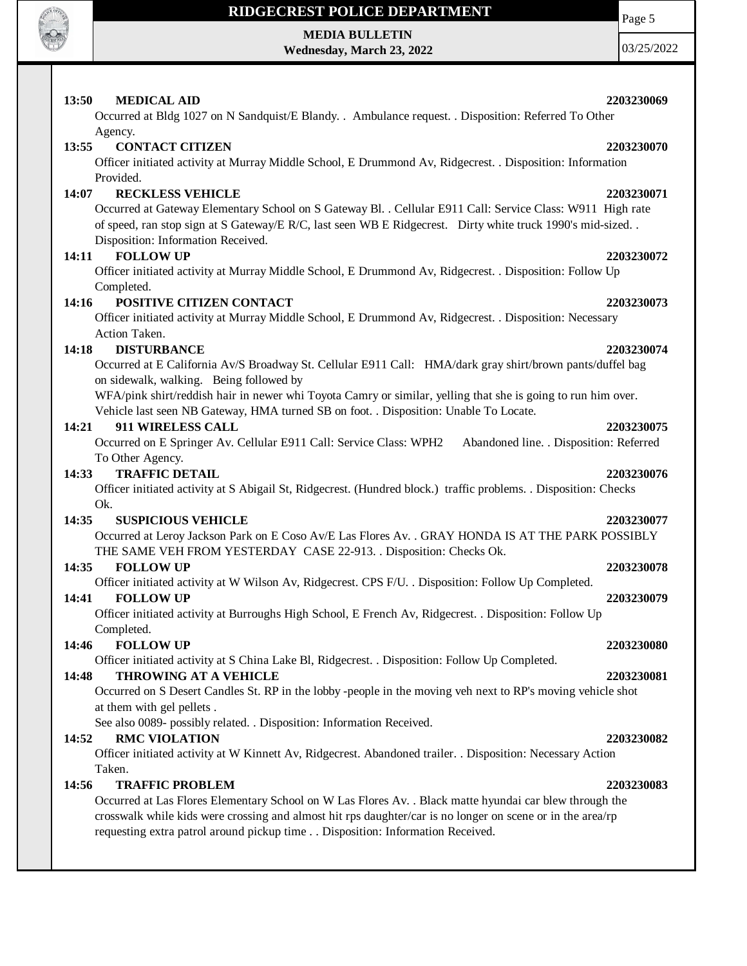

## **MEDIA BULLETIN**

**Wednesday, March 23, 2022**

Page 5

| 13:50 | <b>MEDICAL AID</b>                                                                                                   | 2203230069 |
|-------|----------------------------------------------------------------------------------------------------------------------|------------|
|       | Occurred at Bldg 1027 on N Sandquist/E Blandy. . Ambulance request. . Disposition: Referred To Other                 |            |
|       | Agency.                                                                                                              |            |
| 13:55 | <b>CONTACT CITIZEN</b>                                                                                               | 2203230070 |
|       | Officer initiated activity at Murray Middle School, E Drummond Av, Ridgecrest. . Disposition: Information            |            |
|       | Provided.                                                                                                            |            |
| 14:07 | <b>RECKLESS VEHICLE</b>                                                                                              | 2203230071 |
|       | Occurred at Gateway Elementary School on S Gateway Bl. . Cellular E911 Call: Service Class: W911 High rate           |            |
|       | of speed, ran stop sign at S Gateway/E R/C, last seen WB E Ridgecrest. Dirty white truck 1990's mid-sized            |            |
|       | Disposition: Information Received.                                                                                   |            |
| 14:11 | <b>FOLLOW UP</b>                                                                                                     | 2203230072 |
|       | Officer initiated activity at Murray Middle School, E Drummond Av, Ridgecrest. . Disposition: Follow Up              |            |
| 14:16 | Completed.<br>POSITIVE CITIZEN CONTACT                                                                               | 2203230073 |
|       | Officer initiated activity at Murray Middle School, E Drummond Av, Ridgecrest. . Disposition: Necessary              |            |
|       | Action Taken.                                                                                                        |            |
| 14:18 | <b>DISTURBANCE</b>                                                                                                   | 2203230074 |
|       | Occurred at E California Av/S Broadway St. Cellular E911 Call: HMA/dark gray shirt/brown pants/duffel bag            |            |
|       | on sidewalk, walking. Being followed by                                                                              |            |
|       | WFA/pink shirt/reddish hair in newer whi Toyota Camry or similar, yelling that she is going to run him over.         |            |
|       | Vehicle last seen NB Gateway, HMA turned SB on foot. . Disposition: Unable To Locate.                                |            |
| 14:21 | 911 WIRELESS CALL                                                                                                    | 2203230075 |
|       | Occurred on E Springer Av. Cellular E911 Call: Service Class: WPH2<br>Abandoned line. . Disposition: Referred        |            |
|       | To Other Agency.                                                                                                     |            |
| 14:33 | <b>TRAFFIC DETAIL</b>                                                                                                | 2203230076 |
|       | Officer initiated activity at S Abigail St, Ridgecrest. (Hundred block.) traffic problems. . Disposition: Checks     |            |
|       | Ok.<br><b>SUSPICIOUS VEHICLE</b>                                                                                     |            |
| 14:35 | Occurred at Leroy Jackson Park on E Coso Av/E Las Flores Av. . GRAY HONDA IS AT THE PARK POSSIBLY                    | 2203230077 |
|       | THE SAME VEH FROM YESTERDAY CASE 22-913. . Disposition: Checks Ok.                                                   |            |
| 14:35 | <b>FOLLOW UP</b>                                                                                                     | 2203230078 |
|       | Officer initiated activity at W Wilson Av, Ridgecrest. CPS F/U. . Disposition: Follow Up Completed.                  |            |
| 14:41 | <b>FOLLOW UP</b>                                                                                                     | 2203230079 |
|       | Officer initiated activity at Burroughs High School, E French Av, Ridgecrest. . Disposition: Follow Up               |            |
|       | Completed.                                                                                                           |            |
| 14:46 | <b>FOLLOW UP</b>                                                                                                     | 2203230080 |
|       | Officer initiated activity at S China Lake Bl, Ridgecrest. . Disposition: Follow Up Completed.                       |            |
| 14:48 | THROWING AT A VEHICLE                                                                                                | 2203230081 |
|       | Occurred on S Desert Candles St. RP in the lobby -people in the moving veh next to RP's moving vehicle shot          |            |
|       | at them with gel pellets.                                                                                            |            |
|       | See also 0089- possibly related. . Disposition: Information Received.                                                |            |
| 14:52 | <b>RMC VIOLATION</b>                                                                                                 | 2203230082 |
|       | Officer initiated activity at W Kinnett Av, Ridgecrest. Abandoned trailer. . Disposition: Necessary Action<br>Taken. |            |
| 14:56 | <b>TRAFFIC PROBLEM</b>                                                                                               | 2203230083 |
|       | Occurred at Las Flores Elementary School on W Las Flores Av. . Black matte hyundai car blew through the              |            |
|       | crosswalk while kids were crossing and almost hit rps daughter/car is no longer on scene or in the area/rp           |            |
|       | requesting extra patrol around pickup time Disposition: Information Received.                                        |            |
|       |                                                                                                                      |            |
|       |                                                                                                                      |            |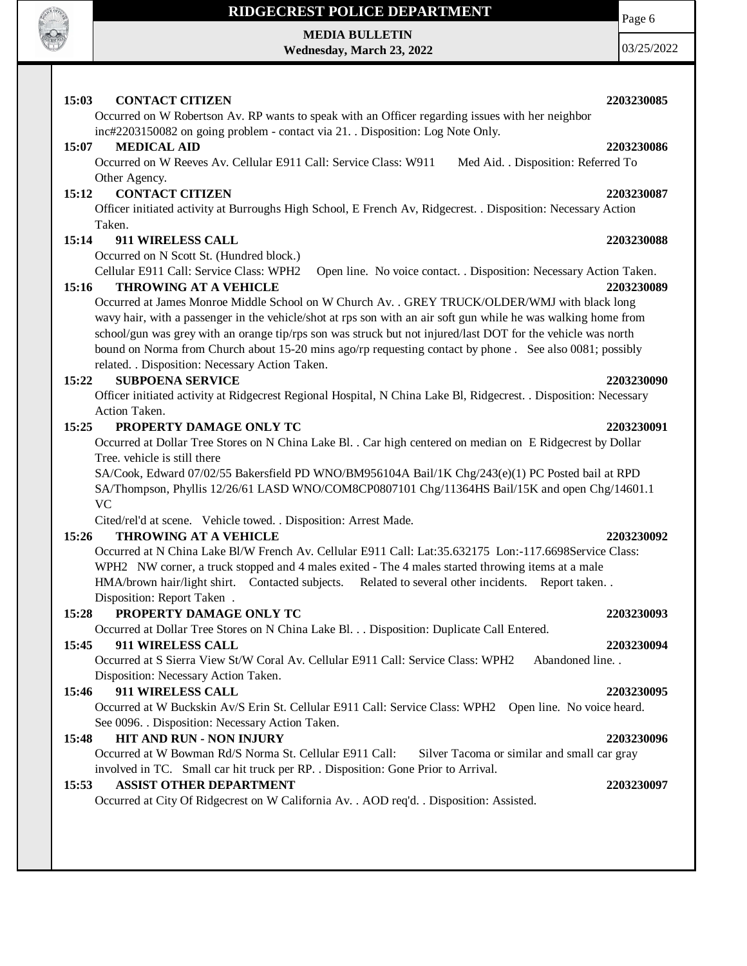

# **MEDIA BULLETIN**

**Wednesday, March 23, 2022**

Page 6

| 03/25/2022 |
|------------|
|------------|

| 15:03 | <b>CONTACT CITIZEN</b>                                                                                            | 2203230085 |
|-------|-------------------------------------------------------------------------------------------------------------------|------------|
|       | Occurred on W Robertson Av. RP wants to speak with an Officer regarding issues with her neighbor                  |            |
|       | inc#2203150082 on going problem - contact via 21. Disposition: Log Note Only.                                     |            |
| 15:07 | <b>MEDICAL AID</b>                                                                                                | 2203230086 |
|       | Occurred on W Reeves Av. Cellular E911 Call: Service Class: W911<br>Med Aid. . Disposition: Referred To           |            |
|       | Other Agency.                                                                                                     |            |
| 15:12 | <b>CONTACT CITIZEN</b>                                                                                            | 2203230087 |
|       | Officer initiated activity at Burroughs High School, E French Av, Ridgecrest. . Disposition: Necessary Action     |            |
|       | Taken.                                                                                                            |            |
| 15:14 | 911 WIRELESS CALL                                                                                                 | 2203230088 |
|       | Occurred on N Scott St. (Hundred block.)                                                                          |            |
|       | Cellular E911 Call: Service Class: WPH2<br>Open line. No voice contact. . Disposition: Necessary Action Taken.    |            |
| 15:16 | <b>THROWING AT A VEHICLE</b>                                                                                      | 2203230089 |
|       | Occurred at James Monroe Middle School on W Church Av. . GREY TRUCK/OLDER/WMJ with black long                     |            |
|       | wavy hair, with a passenger in the vehicle/shot at rps son with an air soft gun while he was walking home from    |            |
|       | school/gun was grey with an orange tip/rps son was struck but not injured/last DOT for the vehicle was north      |            |
|       | bound on Norma from Church about 15-20 mins ago/rp requesting contact by phone . See also 0081; possibly          |            |
|       | related. . Disposition: Necessary Action Taken.                                                                   |            |
| 15:22 | <b>SUBPOENA SERVICE</b>                                                                                           | 2203230090 |
|       | Officer initiated activity at Ridgecrest Regional Hospital, N China Lake Bl, Ridgecrest. . Disposition: Necessary |            |
|       | Action Taken.                                                                                                     |            |
| 15:25 | PROPERTY DAMAGE ONLY TC                                                                                           | 2203230091 |
|       | Occurred at Dollar Tree Stores on N China Lake Bl. . Car high centered on median on E Ridgecrest by Dollar        |            |
|       | Tree, vehicle is still there                                                                                      |            |
|       | SA/Cook, Edward 07/02/55 Bakersfield PD WNO/BM956104A Bail/1K Chg/243(e)(1) PC Posted bail at RPD                 |            |
|       | SA/Thompson, Phyllis 12/26/61 LASD WNO/COM8CP0807101 Chg/11364HS Bail/15K and open Chg/14601.1                    |            |
|       | <b>VC</b>                                                                                                         |            |
|       | Cited/rel'd at scene. Vehicle towed. . Disposition: Arrest Made.                                                  |            |
| 15:26 | <b>THROWING AT A VEHICLE</b>                                                                                      | 2203230092 |
|       | Occurred at N China Lake Bl/W French Av. Cellular E911 Call: Lat:35.632175 Lon:-117.6698Service Class:            |            |
|       | WPH2 NW corner, a truck stopped and 4 males exited - The 4 males started throwing items at a male                 |            |
|       | HMA/brown hair/light shirt. Contacted subjects.<br>Related to several other incidents. Report taken               |            |
|       | Disposition: Report Taken.                                                                                        |            |
| 15:28 | PROPERTY DAMAGE ONLY TC                                                                                           | 2203230093 |
|       | Occurred at Dollar Tree Stores on N China Lake Bl. Disposition: Duplicate Call Entered.                           |            |
| 15:45 |                                                                                                                   |            |
|       | 911 WIRELESS CALL<br>Occurred at S Sierra View St/W Coral Av. Cellular E911 Call: Service Class: WPH2             | 2203230094 |
|       | Abandoned line. .                                                                                                 |            |
|       | Disposition: Necessary Action Taken.                                                                              |            |
| 15:46 | 911 WIRELESS CALL                                                                                                 | 2203230095 |
|       | Occurred at W Buckskin Av/S Erin St. Cellular E911 Call: Service Class: WPH2 Open line. No voice heard.           |            |
|       | See 0096. . Disposition: Necessary Action Taken.                                                                  |            |
| 15:48 | HIT AND RUN - NON INJURY                                                                                          | 2203230096 |
|       | Occurred at W Bowman Rd/S Norma St. Cellular E911 Call:<br>Silver Tacoma or similar and small car gray            |            |
|       | involved in TC. Small car hit truck per RP. . Disposition: Gone Prior to Arrival.                                 |            |
| 15:53 | <b>ASSIST OTHER DEPARTMENT</b>                                                                                    | 2203230097 |
|       | Occurred at City Of Ridgecrest on W California Av. . AOD req'd. . Disposition: Assisted.                          |            |
|       |                                                                                                                   |            |
|       |                                                                                                                   |            |
|       |                                                                                                                   |            |
|       |                                                                                                                   |            |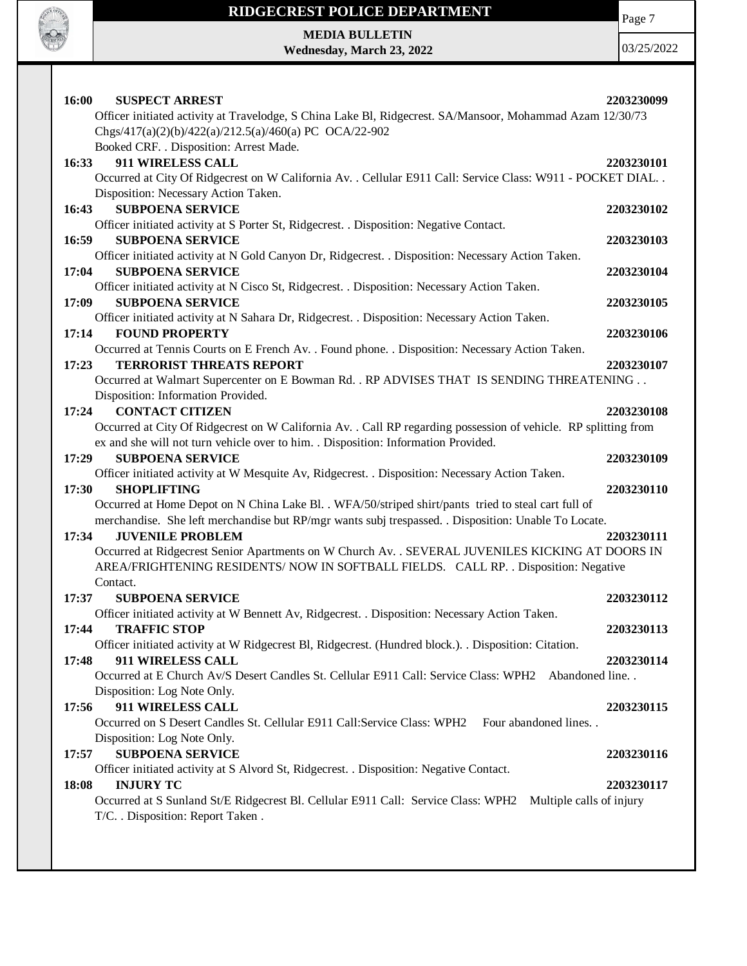

Page 7

**MEDIA BULLETIN Wednesday, March 23, 2022**

| 16:00 | <b>SUSPECT ARREST</b>                                                                                           | 2203230099 |
|-------|-----------------------------------------------------------------------------------------------------------------|------------|
|       | Officer initiated activity at Travelodge, S China Lake Bl, Ridgecrest. SA/Mansoor, Mohammad Azam 12/30/73       |            |
|       | Chgs/417(a)(2)(b)/422(a)/212.5(a)/460(a) PC OCA/22-902                                                          |            |
|       | Booked CRF. . Disposition: Arrest Made.                                                                         |            |
| 16:33 | <b>911 WIRELESS CALL</b>                                                                                        | 2203230101 |
|       | Occurred at City Of Ridgecrest on W California Av. . Cellular E911 Call: Service Class: W911 - POCKET DIAL. .   |            |
|       | Disposition: Necessary Action Taken.                                                                            |            |
| 16:43 | <b>SUBPOENA SERVICE</b>                                                                                         | 2203230102 |
|       | Officer initiated activity at S Porter St, Ridgecrest. . Disposition: Negative Contact.                         |            |
| 16:59 | <b>SUBPOENA SERVICE</b>                                                                                         | 2203230103 |
|       | Officer initiated activity at N Gold Canyon Dr, Ridgecrest. . Disposition: Necessary Action Taken.              |            |
| 17:04 | <b>SUBPOENA SERVICE</b>                                                                                         | 2203230104 |
|       | Officer initiated activity at N Cisco St, Ridgecrest. . Disposition: Necessary Action Taken.                    |            |
| 17:09 | <b>SUBPOENA SERVICE</b>                                                                                         | 2203230105 |
|       | Officer initiated activity at N Sahara Dr, Ridgecrest. . Disposition: Necessary Action Taken.                   |            |
| 17:14 | <b>FOUND PROPERTY</b>                                                                                           | 2203230106 |
|       | Occurred at Tennis Courts on E French Av. . Found phone. . Disposition: Necessary Action Taken.                 |            |
| 17:23 | <b>TERRORIST THREATS REPORT</b>                                                                                 | 2203230107 |
|       | Occurred at Walmart Supercenter on E Bowman Rd. . RP ADVISES THAT IS SENDING THREATENING                        |            |
|       | Disposition: Information Provided.                                                                              |            |
| 17:24 | <b>CONTACT CITIZEN</b>                                                                                          | 2203230108 |
|       | Occurred at City Of Ridgecrest on W California Av. . Call RP regarding possession of vehicle. RP splitting from |            |
|       | ex and she will not turn vehicle over to him. . Disposition: Information Provided.                              |            |
| 17:29 | <b>SUBPOENA SERVICE</b>                                                                                         | 2203230109 |
|       | Officer initiated activity at W Mesquite Av, Ridgecrest. . Disposition: Necessary Action Taken.                 |            |
| 17:30 | <b>SHOPLIFTING</b>                                                                                              | 2203230110 |
|       | Occurred at Home Depot on N China Lake Bl. . WFA/50/striped shirt/pants tried to steal cart full of             |            |
|       | merchandise. She left merchandise but RP/mgr wants subj trespassed. . Disposition: Unable To Locate.            |            |
| 17:34 | <b>JUVENILE PROBLEM</b>                                                                                         | 2203230111 |
|       | Occurred at Ridgecrest Senior Apartments on W Church Av. . SEVERAL JUVENILES KICKING AT DOORS IN                |            |
|       | AREA/FRIGHTENING RESIDENTS/ NOW IN SOFTBALL FIELDS. CALL RP. . Disposition: Negative                            |            |
|       | Contact.                                                                                                        |            |
| 17:37 | <b>SUBPOENA SERVICE</b>                                                                                         | 2203230112 |
|       | Officer initiated activity at W Bennett Av, Ridgecrest. . Disposition: Necessary Action Taken.                  | 2203230113 |
| 17:44 | <b>TRAFFIC STOP</b>                                                                                             |            |
|       |                                                                                                                 |            |
|       | Officer initiated activity at W Ridgecrest Bl, Ridgecrest. (Hundred block.). . Disposition: Citation.           |            |
| 17:48 | 911 WIRELESS CALL                                                                                               | 2203230114 |
|       | Occurred at E Church Av/S Desert Candles St. Cellular E911 Call: Service Class: WPH2 Abandoned line. .          |            |
|       | Disposition: Log Note Only.                                                                                     |            |
| 17:56 | 911 WIRELESS CALL                                                                                               | 2203230115 |
|       | Occurred on S Desert Candles St. Cellular E911 Call: Service Class: WPH2 Four abandoned lines                   |            |
|       | Disposition: Log Note Only.                                                                                     |            |
| 17:57 | <b>SUBPOENA SERVICE</b>                                                                                         | 2203230116 |
|       | Officer initiated activity at S Alvord St, Ridgecrest. . Disposition: Negative Contact.                         |            |
| 18:08 | <b>INJURY TC</b>                                                                                                | 2203230117 |
|       | Occurred at S Sunland St/E Ridgecrest Bl. Cellular E911 Call: Service Class: WPH2 Multiple calls of injury      |            |
|       | T/C. . Disposition: Report Taken .                                                                              |            |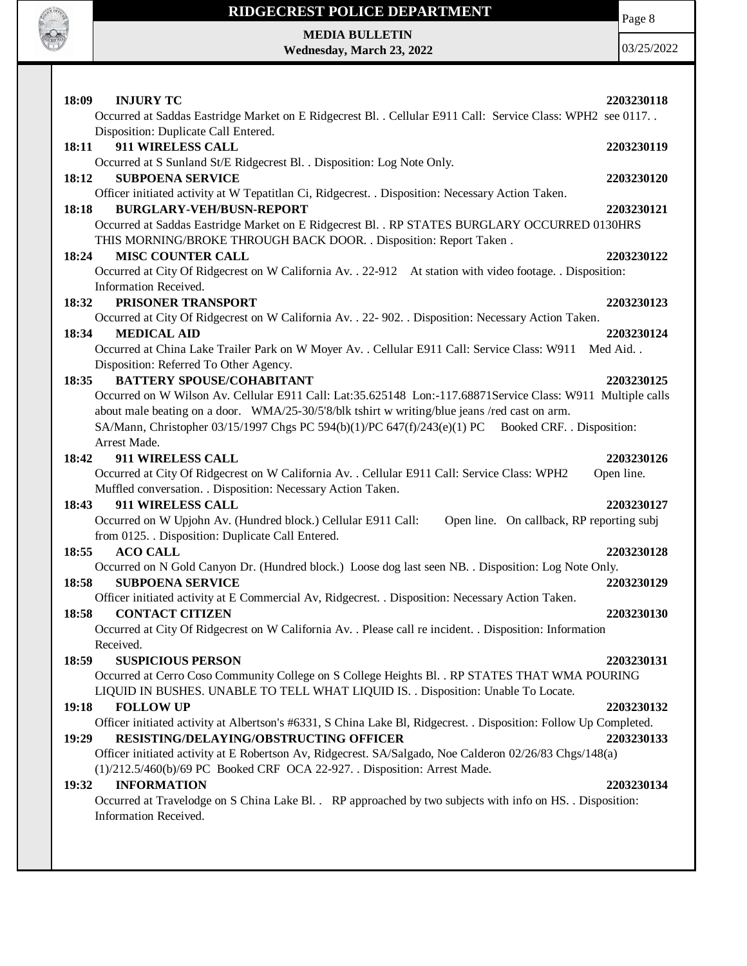

**MEDIA BULLETIN Wednesday, March 23, 2022** Page 8

| 18:09<br><b>INJURY TC</b>                                                                                         | 2203230118 |
|-------------------------------------------------------------------------------------------------------------------|------------|
| Occurred at Saddas Eastridge Market on E Ridgecrest Bl. . Cellular E911 Call: Service Class: WPH2 see 0117. .     |            |
| Disposition: Duplicate Call Entered.                                                                              |            |
| 911 WIRELESS CALL<br>18:11                                                                                        | 2203230119 |
| Occurred at S Sunland St/E Ridgecrest Bl. . Disposition: Log Note Only.                                           |            |
| 18:12<br><b>SUBPOENA SERVICE</b>                                                                                  | 2203230120 |
| Officer initiated activity at W Tepatitlan Ci, Ridgecrest. . Disposition: Necessary Action Taken.                 |            |
| <b>BURGLARY-VEH/BUSN-REPORT</b><br>18:18                                                                          | 2203230121 |
| Occurred at Saddas Eastridge Market on E Ridgecrest Bl. . RP STATES BURGLARY OCCURRED 0130HRS                     |            |
| THIS MORNING/BROKE THROUGH BACK DOOR. . Disposition: Report Taken.                                                |            |
| <b>MISC COUNTER CALL</b><br>18:24                                                                                 | 2203230122 |
| Occurred at City Of Ridgecrest on W California Av. . 22-912 At station with video footage. . Disposition:         |            |
| Information Received.                                                                                             |            |
| PRISONER TRANSPORT<br>18:32                                                                                       | 2203230123 |
| Occurred at City Of Ridgecrest on W California Av. . 22- 902. . Disposition: Necessary Action Taken.              |            |
| <b>MEDICAL AID</b><br>18:34                                                                                       | 2203230124 |
| Occurred at China Lake Trailer Park on W Moyer Av. . Cellular E911 Call: Service Class: W911                      | Med Aid    |
| Disposition: Referred To Other Agency.                                                                            |            |
| <b>BATTERY SPOUSE/COHABITANT</b><br>18:35                                                                         | 2203230125 |
| Occurred on W Wilson Av. Cellular E911 Call: Lat:35.625148 Lon:-117.68871Service Class: W911 Multiple calls       |            |
| about male beating on a door. WMA/25-30/5'8/blk tshirt w writing/blue jeans /red cast on arm.                     |            |
| SA/Mann, Christopher 03/15/1997 Chgs PC 594(b)(1)/PC 647(f)/243(e)(1) PC Booked CRF. . Disposition:               |            |
| Arrest Made.                                                                                                      |            |
| 18:42<br>911 WIRELESS CALL                                                                                        | 2203230126 |
| Occurred at City Of Ridgecrest on W California Av. . Cellular E911 Call: Service Class: WPH2                      | Open line. |
| Muffled conversation. . Disposition: Necessary Action Taken.                                                      |            |
| 911 WIRELESS CALL<br>18:43                                                                                        | 2203230127 |
| Occurred on W Upjohn Av. (Hundred block.) Cellular E911 Call:<br>Open line. On callback, RP reporting subj        |            |
| from 0125. Disposition: Duplicate Call Entered.                                                                   |            |
| 18:55<br><b>ACO CALL</b>                                                                                          | 2203230128 |
| Occurred on N Gold Canyon Dr. (Hundred block.) Loose dog last seen NB. . Disposition: Log Note Only.              |            |
| <b>SUBPOENA SERVICE</b><br>18:58                                                                                  | 2203230129 |
| Officer initiated activity at E Commercial Av, Ridgecrest. . Disposition: Necessary Action Taken.                 |            |
| <b>CONTACT CITIZEN</b><br>18:58                                                                                   | 2203230130 |
| Occurred at City Of Ridgecrest on W California Av. . Please call re incident. . Disposition: Information          |            |
| Received.                                                                                                         |            |
| <b>SUSPICIOUS PERSON</b><br>18:59                                                                                 | 2203230131 |
| Occurred at Cerro Coso Community College on S College Heights Bl. . RP STATES THAT WMA POURING                    |            |
| LIQUID IN BUSHES. UNABLE TO TELL WHAT LIQUID IS. . Disposition: Unable To Locate.                                 |            |
| 19:18<br><b>FOLLOW UP</b>                                                                                         | 2203230132 |
| Officer initiated activity at Albertson's #6331, S China Lake Bl, Ridgecrest. . Disposition: Follow Up Completed. |            |
| RESISTING/DELAYING/OBSTRUCTING OFFICER<br>19:29                                                                   | 2203230133 |
| Officer initiated activity at E Robertson Av, Ridgecrest. SA/Salgado, Noe Calderon 02/26/83 Chgs/148(a)           |            |
| (1)/212.5/460(b)/69 PC Booked CRF OCA 22-927. . Disposition: Arrest Made.                                         |            |
| <b>INFORMATION</b><br>19:32                                                                                       | 2203230134 |
| Occurred at Travelodge on S China Lake Bl. . RP approached by two subjects with info on HS. . Disposition:        |            |
| Information Received.                                                                                             |            |
|                                                                                                                   |            |
|                                                                                                                   |            |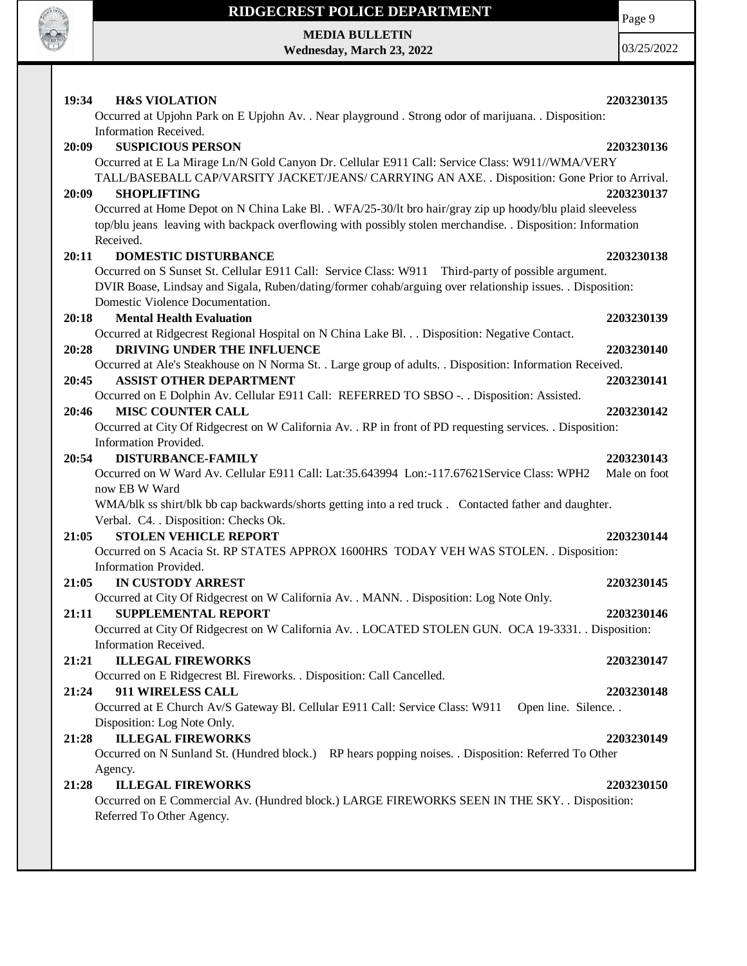

**MEDIA BULLETIN**

**Wednesday, March 23, 2022**

Page 9

| 19:34<br><b>H&amp;S VIOLATION</b>                                                                                                     | 2203230135   |
|---------------------------------------------------------------------------------------------------------------------------------------|--------------|
| Occurred at Upjohn Park on E Upjohn Av. . Near playground . Strong odor of marijuana. . Disposition:                                  |              |
| Information Received.                                                                                                                 |              |
| <b>SUSPICIOUS PERSON</b><br>20:09                                                                                                     | 2203230136   |
| Occurred at E La Mirage Ln/N Gold Canyon Dr. Cellular E911 Call: Service Class: W911//WMA/VERY                                        |              |
| TALL/BASEBALL CAP/VARSITY JACKET/JEANS/ CARRYING AN AXE. . Disposition: Gone Prior to Arrival.                                        |              |
| <b>SHOPLIFTING</b><br>20:09                                                                                                           | 2203230137   |
| Occurred at Home Depot on N China Lake Bl. . WFA/25-30/lt bro hair/gray zip up hoody/blu plaid sleeveless                             |              |
| top/blu jeans leaving with backpack overflowing with possibly stolen merchandise. . Disposition: Information                          |              |
| Received.                                                                                                                             |              |
| 20:11<br><b>DOMESTIC DISTURBANCE</b>                                                                                                  | 2203230138   |
| Occurred on S Sunset St. Cellular E911 Call: Service Class: W911 Third-party of possible argument.                                    |              |
| DVIR Boase, Lindsay and Sigala, Ruben/dating/former cohab/arguing over relationship issues. . Disposition:                            |              |
| Domestic Violence Documentation.                                                                                                      |              |
| <b>Mental Health Evaluation</b><br>20:18                                                                                              | 2203230139   |
| Occurred at Ridgecrest Regional Hospital on N China Lake Bl. Disposition: Negative Contact.                                           |              |
| DRIVING UNDER THE INFLUENCE<br>20:28                                                                                                  | 2203230140   |
| Occurred at Ale's Steakhouse on N Norma St. . Large group of adults. . Disposition: Information Received.                             |              |
| 20:45<br><b>ASSIST OTHER DEPARTMENT</b><br>Occurred on E Dolphin Av. Cellular E911 Call: REFERRED TO SBSO -. . Disposition: Assisted. | 2203230141   |
| <b>MISC COUNTER CALL</b><br>20:46                                                                                                     | 2203230142   |
| Occurred at City Of Ridgecrest on W California Av. . RP in front of PD requesting services. . Disposition:                            |              |
| Information Provided.                                                                                                                 |              |
| <b>DISTURBANCE-FAMILY</b><br>20:54                                                                                                    | 2203230143   |
| Occurred on W Ward Av. Cellular E911 Call: Lat:35.643994 Lon:-117.67621Service Class: WPH2                                            | Male on foot |
| now EB W Ward                                                                                                                         |              |
| WMA/blk ss shirt/blk bb cap backwards/shorts getting into a red truck . Contacted father and daughter.                                |              |
| Verbal. C4. . Disposition: Checks Ok.                                                                                                 |              |
| <b>STOLEN VEHICLE REPORT</b><br>21:05                                                                                                 | 2203230144   |
| Occurred on S Acacia St. RP STATES APPROX 1600HRS TODAY VEH WAS STOLEN. . Disposition:                                                |              |
| Information Provided.                                                                                                                 |              |
| <b>IN CUSTODY ARREST</b><br>21:05                                                                                                     | 2203230145   |
| Occurred at City Of Ridgecrest on W California Av. . MANN. . Disposition: Log Note Only.                                              |              |
| <b>SUPPLEMENTAL REPORT</b><br>21:11                                                                                                   | 2203230146   |
| Occurred at City Of Ridgecrest on W California Av. . LOCATED STOLEN GUN. OCA 19-3331. . Disposition:                                  |              |
| Information Received.                                                                                                                 |              |
| <b>ILLEGAL FIREWORKS</b><br>21:21                                                                                                     | 2203230147   |
| Occurred on E Ridgecrest Bl. Fireworks. . Disposition: Call Cancelled.                                                                |              |
| 911 WIRELESS CALL<br>21:24                                                                                                            | 2203230148   |
| Occurred at E Church Av/S Gateway Bl. Cellular E911 Call: Service Class: W911<br>Open line. Silence. .<br>Disposition: Log Note Only. |              |
| <b>ILLEGAL FIREWORKS</b>                                                                                                              |              |
| 21:28<br>Occurred on N Sunland St. (Hundred block.) RP hears popping noises. . Disposition: Referred To Other                         | 2203230149   |
| Agency.                                                                                                                               |              |
| <b>ILLEGAL FIREWORKS</b><br>21:28                                                                                                     | 2203230150   |
| Occurred on E Commercial Av. (Hundred block.) LARGE FIREWORKS SEEN IN THE SKY. . Disposition:                                         |              |
| Referred To Other Agency.                                                                                                             |              |
|                                                                                                                                       |              |
|                                                                                                                                       |              |
|                                                                                                                                       |              |